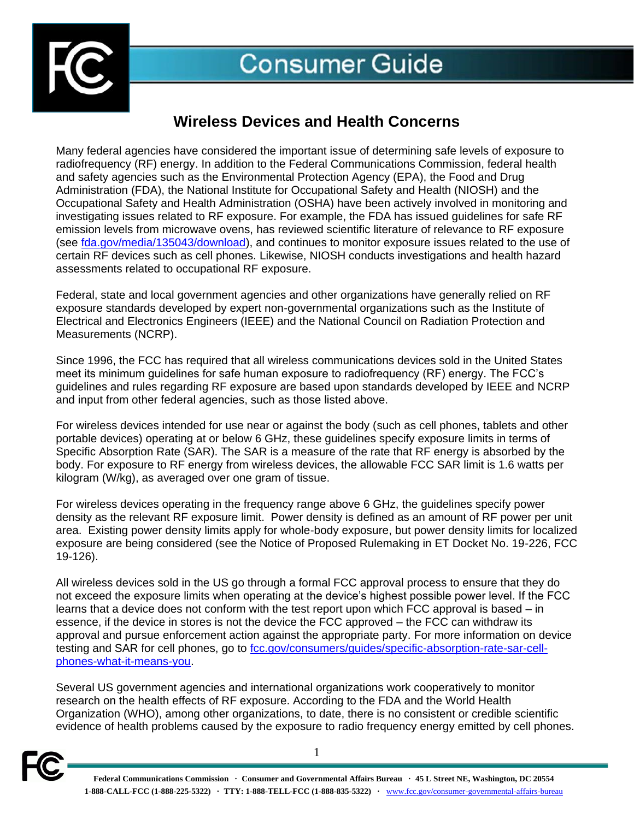

# **Wireless Devices and Health Concerns**

Many federal agencies have considered the important issue of determining safe levels of exposure to radiofrequency (RF) energy. In addition to the Federal Communications Commission, federal health and safety agencies such as the Environmental Protection Agency (EPA), the Food and Drug Administration (FDA), the National Institute for Occupational Safety and Health (NIOSH) and the Occupational Safety and Health Administration (OSHA) have been actively involved in monitoring and investigating issues related to RF exposure. For example, the FDA has issued guidelines for safe RF emission levels from microwave ovens, has reviewed scientific literature of relevance to RF exposure (see [fda.gov/media/135043/download\)](https://www.fda.gov/media/135043/download), and continues to monitor exposure issues related to the use of certain RF devices such as cell phones. Likewise, NIOSH conducts investigations and health hazard assessments related to occupational RF exposure.

Federal, state and local government agencies and other organizations have generally relied on RF exposure standards developed by expert non-governmental organizations such as the Institute of Electrical and Electronics Engineers (IEEE) and the National Council on Radiation Protection and Measurements (NCRP).

Since 1996, the FCC has required that all wireless communications devices sold in the United States meet its minimum guidelines for safe human exposure to radiofrequency (RF) energy. The FCC's guidelines and rules regarding RF exposure are based upon standards developed by IEEE and NCRP and input from other federal agencies, such as those listed above.

For wireless devices intended for use near or against the body (such as cell phones, tablets and other portable devices) operating at or below 6 GHz, these guidelines specify exposure limits in terms of Specific Absorption Rate (SAR). The SAR is a measure of the rate that RF energy is absorbed by the body. For exposure to RF energy from wireless devices, the allowable FCC SAR limit is 1.6 watts per kilogram (W/kg), as averaged over one gram of tissue.

For wireless devices operating in the frequency range above 6 GHz, the guidelines specify power density as the relevant RF exposure limit. Power density is defined as an amount of RF power per unit area. Existing power density limits apply for whole-body exposure, but power density limits for localized exposure are being considered (see the Notice of Proposed Rulemaking in ET Docket No. 19-226, FCC 19-126).

All wireless devices sold in the US go through a formal FCC approval process to ensure that they do not exceed the exposure limits when operating at the device's highest possible power level. If the FCC learns that a device does not conform with the test report upon which FCC approval is based – in essence, if the device in stores is not the device the FCC approved – the FCC can withdraw its approval and pursue enforcement action against the appropriate party. For more information on device testing and SAR for cell phones, go to [fcc.gov/consumers/guides/specific-absorption-rate-sar-cell](https://www.fcc.gov/consumers/guides/specific-absorption-rate-sar-cell-phones-what-it-means-you)[phones-what-it-means-you.](https://www.fcc.gov/consumers/guides/specific-absorption-rate-sar-cell-phones-what-it-means-you)

Several US government agencies and international organizations work cooperatively to monitor research on the health effects of RF exposure. According to the FDA and the World Health Organization (WHO), among other organizations, to date, there is no consistent or credible scientific evidence of health problems caused by the exposure to radio frequency energy emitted by cell phones.



1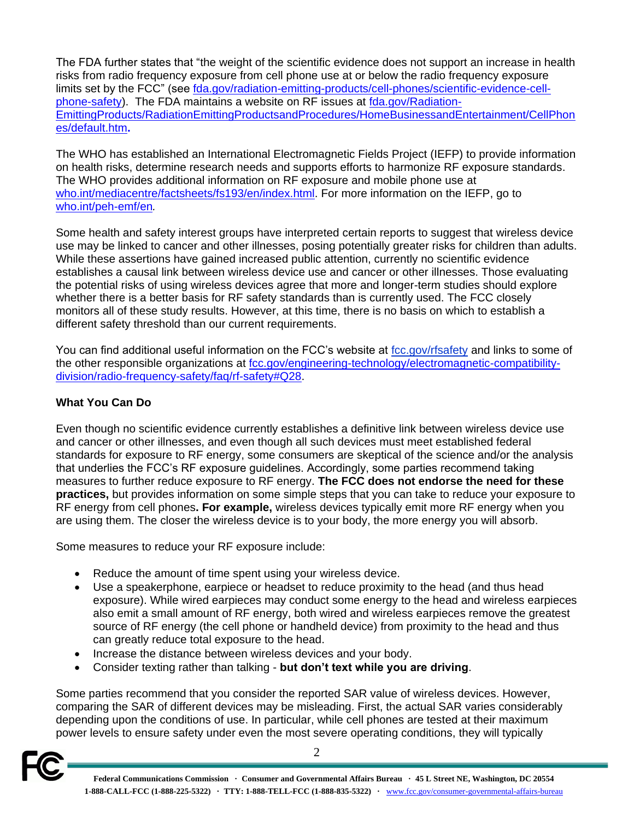The FDA further states that "the weight of the scientific evidence does not support an increase in health risks from radio frequency exposure from cell phone use at or below the radio frequency exposure limits set by the FCC" (see [fda.gov/radiation-emitting-products/cell-phones/scientific-evidence-cell](https://www.fda.gov/radiation-emitting-products/cell-phones/scientific-evidence-cell-phone-safety)[phone-safety\)](https://www.fda.gov/radiation-emitting-products/cell-phones/scientific-evidence-cell-phone-safety). The FDA maintains a website on RF issues at [fda.gov/Radiation-](http://www.fda.gov/Radiation-EmittingProducts/RadiationEmittingProductsandProcedures/HomeBusinessandEntertainment/CellPhones/default.htm)[EmittingProducts/RadiationEmittingProductsandProcedures/HomeBusinessandEntertainment/CellPhon](http://www.fda.gov/Radiation-EmittingProducts/RadiationEmittingProductsandProcedures/HomeBusinessandEntertainment/CellPhones/default.htm) [es/default.htm](http://www.fda.gov/Radiation-EmittingProducts/RadiationEmittingProductsandProcedures/HomeBusinessandEntertainment/CellPhones/default.htm)**.**

The WHO has established an International Electromagnetic Fields Project (IEFP) to provide information on health risks, determine research needs and supports efforts to harmonize RF exposure standards. The WHO provides additional information on RF exposure and mobile phone use at [who.int/mediacentre/factsheets/fs193/en/index.html.](http://www.who.int/mediacentre/factsheets/fs193/en/index.html) For more information on the IEFP, go to [who.int/peh-emf/en](http://www.who.int/peh-emf/en)*.*

Some health and safety interest groups have interpreted certain reports to suggest that wireless device use may be linked to cancer and other illnesses, posing potentially greater risks for children than adults. While these assertions have gained increased public attention, currently no scientific evidence establishes a causal link between wireless device use and cancer or other illnesses. Those evaluating the potential risks of using wireless devices agree that more and longer-term studies should explore whether there is a better basis for RF safety standards than is currently used. The FCC closely monitors all of these study results. However, at this time, there is no basis on which to establish a different safety threshold than our current requirements.

You can find additional useful information on the FCC's website at [fcc.gov/rfsafety](http://fcc.gov/rfsafety) and links to some of the other responsible organizations at [fcc.gov/engineering-technology/electromagnetic-compatibility](https://www.fcc.gov/engineering-technology/electromagnetic-compatibility-division/radio-frequency-safety/faq/rf-safety#Q28)[division/radio-frequency-safety/faq/rf-safety#Q28.](https://www.fcc.gov/engineering-technology/electromagnetic-compatibility-division/radio-frequency-safety/faq/rf-safety#Q28)

## **What You Can Do**

Even though no scientific evidence currently establishes a definitive link between wireless device use and cancer or other illnesses, and even though all such devices must meet established federal standards for exposure to RF energy, some consumers are skeptical of the science and/or the analysis that underlies the FCC's RF exposure guidelines. Accordingly, some parties recommend taking measures to further reduce exposure to RF energy. **The FCC does not endorse the need for these practices,** but provides information on some simple steps that you can take to reduce your exposure to RF energy from cell phones**. For example,** wireless devices typically emit more RF energy when you are using them. The closer the wireless device is to your body, the more energy you will absorb.

Some measures to reduce your RF exposure include:

- Reduce the amount of time spent using your wireless device.
- Use a speakerphone, earpiece or headset to reduce proximity to the head (and thus head exposure). While wired earpieces may conduct some energy to the head and wireless earpieces also emit a small amount of RF energy, both wired and wireless earpieces remove the greatest source of RF energy (the cell phone or handheld device) from proximity to the head and thus can greatly reduce total exposure to the head.
- Increase the distance between wireless devices and your body.
- Consider texting rather than talking **but don't text while you are driving**.

Some parties recommend that you consider the reported SAR value of wireless devices. However, comparing the SAR of different devices may be misleading. First, the actual SAR varies considerably depending upon the conditions of use. In particular, while cell phones are tested at their maximum power levels to ensure safety under even the most severe operating conditions, they will typically